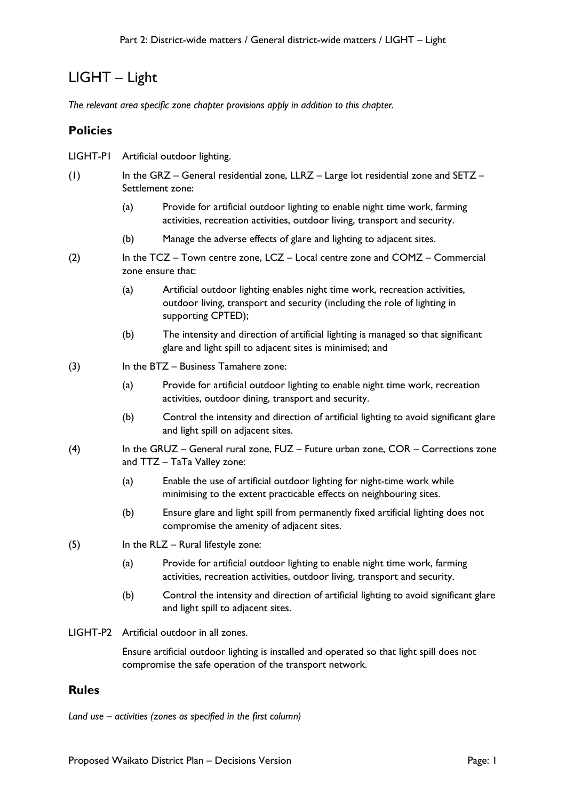## LIGHT – Light

*The relevant area specific zone chapter provisions apply in addition to this chapter.*

## **Policies**

- LIGHT-P1 Artificial outdoor lighting.
- (1) In the GRZ General residential zone, LLRZ Large lot residential zone and SETZ Settlement zone:
	- (a) Provide for artificial outdoor lighting to enable night time work, farming activities, recreation activities, outdoor living, transport and security.
	- (b) Manage the adverse effects of glare and lighting to adjacent sites.
- (2) In the TCZ Town centre zone, LCZ Local centre zone and COMZ Commercial zone ensure that:
	- (a) Artificial outdoor lighting enables night time work, recreation activities, outdoor living, transport and security (including the role of lighting in supporting CPTED);
	- (b) The intensity and direction of artificial lighting is managed so that significant glare and light spill to adjacent sites is minimised; and
- (3) In the BTZ Business Tamahere zone:
	- (a) Provide for artificial outdoor lighting to enable night time work, recreation activities, outdoor dining, transport and security.
	- (b) Control the intensity and direction of artificial lighting to avoid significant glare and light spill on adjacent sites.
- (4) In the GRUZ General rural zone, FUZ Future urban zone, COR Corrections zone and TTZ – TaTa Valley zone:
	- (a) Enable the use of artificial outdoor lighting for night-time work while minimising to the extent practicable effects on neighbouring sites.
	- (b) Ensure glare and light spill from permanently fixed artificial lighting does not compromise the amenity of adjacent sites.
- $(5)$  In the RLZ Rural lifestyle zone:
	- (a) Provide for artificial outdoor lighting to enable night time work, farming activities, recreation activities, outdoor living, transport and security.
	- (b) Control the intensity and direction of artificial lighting to avoid significant glare and light spill to adjacent sites.
- LIGHT-P2 Artificial outdoor in all zones.

Ensure artificial outdoor lighting is installed and operated so that light spill does not compromise the safe operation of the transport network.

## **Rules**

*Land use – activities (zones as specified in the first column)*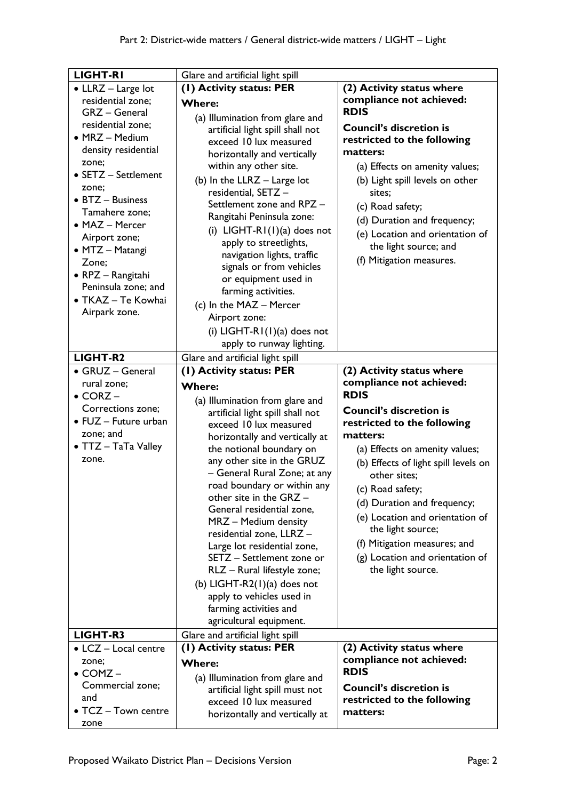| <b>LIGHT-RI</b>              | Glare and artificial light spill |                                      |
|------------------------------|----------------------------------|--------------------------------------|
| • LLRZ - Large lot           | (1) Activity status: PER         | (2) Activity status where            |
| residential zone;            | <b>Where:</b>                    | compliance not achieved:             |
| GRZ - General                |                                  | <b>RDIS</b>                          |
| residential zone;            | (a) Illumination from glare and  | <b>Council's discretion is</b>       |
| • MRZ - Medium               | artificial light spill shall not | restricted to the following          |
| density residential          | exceed 10 lux measured           |                                      |
| zone;                        | horizontally and vertically      | matters:                             |
| • SETZ - Settlement          | within any other site.           | (a) Effects on amenity values;       |
| zone;                        | (b) In the $LLRZ - Large$ lot    | (b) Light spill levels on other      |
| • BTZ - Business             | residential, SETZ-               | sites;                               |
| Tamahere zone;               | Settlement zone and RPZ -        | (c) Road safety;                     |
| • MAZ - Mercer               | Rangitahi Peninsula zone:        | (d) Duration and frequency;          |
| Airport zone;                | (i) $LIGHT-RI(1)(a)$ does not    | (e) Location and orientation of      |
| • MTZ - Matangi              | apply to streetlights,           | the light source; and                |
| Zone;                        | navigation lights, traffic       | (f) Mitigation measures.             |
|                              | signals or from vehicles         |                                      |
| • RPZ - Rangitahi            | or equipment used in             |                                      |
| Peninsula zone; and          | farming activities.              |                                      |
| • TKAZ - Te Kowhai           | (c) In the MAZ - Mercer          |                                      |
| Airpark zone.                | Airport zone:                    |                                      |
|                              | (i) $LIGHT-RI(1)(a)$ does not    |                                      |
|                              | apply to runway lighting.        |                                      |
| LIGHT-R2                     | Glare and artificial light spill |                                      |
| • GRUZ - General             | (I) Activity status: PER         | (2) Activity status where            |
| rural zone;                  |                                  | compliance not achieved:             |
| $\bullet$ CORZ $-$           | <b>Where:</b>                    | <b>RDIS</b>                          |
|                              |                                  |                                      |
|                              | (a) Illumination from glare and  |                                      |
| Corrections zone;            | artificial light spill shall not | <b>Council's discretion is</b>       |
| $\bullet$ FUZ - Future urban | exceed 10 lux measured           | restricted to the following          |
| zone; and                    | horizontally and vertically at   | matters:                             |
| • TTZ - TaTa Valley          | the notional boundary on         | (a) Effects on amenity values;       |
| zone.                        | any other site in the GRUZ       | (b) Effects of light spill levels on |
|                              | - General Rural Zone; at any     | other sites:                         |
|                              | road boundary or within any      | (c) Road safety;                     |
|                              | other site in the GRZ -          |                                      |
|                              | General residential zone,        | (d) Duration and frequency;          |
|                              | MRZ - Medium density             | (e) Location and orientation of      |
|                              | residential zone, LLRZ -         | the light source;                    |
|                              | Large lot residential zone,      | (f) Mitigation measures; and         |
|                              | SETZ - Settlement zone or        | (g) Location and orientation of      |
|                              | RLZ - Rural lifestyle zone;      | the light source.                    |
|                              | (b) LIGHT-R2 $(1)(a)$ does not   |                                      |
|                              | apply to vehicles used in        |                                      |
|                              | farming activities and           |                                      |
|                              | agricultural equipment.          |                                      |
| LIGHT-R3                     | Glare and artificial light spill |                                      |
| • LCZ - Local centre         | (1) Activity status: PER         | (2) Activity status where            |
| zone;                        | <b>Where:</b>                    | compliance not achieved:             |
| $\bullet$ COMZ $-$           | (a) Illumination from glare and  | <b>RDIS</b>                          |
| Commercial zone;             | artificial light spill must not  | <b>Council's discretion is</b>       |
| and                          | exceed 10 lux measured           | restricted to the following          |
| • TCZ - Town centre          | horizontally and vertically at   | matters:                             |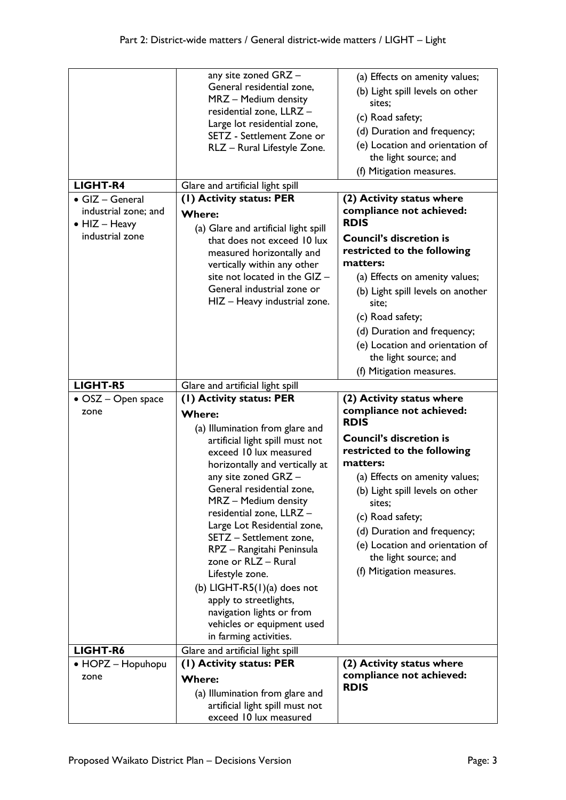|                                                                                             | any site zoned GRZ -<br>General residential zone,<br>MRZ - Medium density<br>residential zone, LLRZ -<br>Large lot residential zone,<br>SETZ - Settlement Zone or<br>RLZ - Rural Lifestyle Zone.                                                                                                                                                                                                                                                                                                                                                                       | (a) Effects on amenity values;<br>(b) Light spill levels on other<br>sites;<br>(c) Road safety;<br>(d) Duration and frequency;<br>(e) Location and orientation of<br>the light source; and<br>(f) Mitigation measures.                                                                                                                                                      |
|---------------------------------------------------------------------------------------------|------------------------------------------------------------------------------------------------------------------------------------------------------------------------------------------------------------------------------------------------------------------------------------------------------------------------------------------------------------------------------------------------------------------------------------------------------------------------------------------------------------------------------------------------------------------------|-----------------------------------------------------------------------------------------------------------------------------------------------------------------------------------------------------------------------------------------------------------------------------------------------------------------------------------------------------------------------------|
| LIGHT-R4                                                                                    | Glare and artificial light spill                                                                                                                                                                                                                                                                                                                                                                                                                                                                                                                                       |                                                                                                                                                                                                                                                                                                                                                                             |
| $\bullet$ GIZ - General<br>industrial zone; and<br>$\bullet$ HIZ - Heavy<br>industrial zone | (1) Activity status: PER<br><b>Where:</b><br>(a) Glare and artificial light spill<br>that does not exceed 10 lux<br>measured horizontally and<br>vertically within any other<br>site not located in the GIZ -<br>General industrial zone or<br>HIZ - Heavy industrial zone.                                                                                                                                                                                                                                                                                            | (2) Activity status where<br>compliance not achieved:<br><b>RDIS</b><br><b>Council's discretion is</b><br>restricted to the following<br>matters:<br>(a) Effects on amenity values;<br>(b) Light spill levels on another<br>site;<br>(c) Road safety;<br>(d) Duration and frequency;<br>(e) Location and orientation of                                                     |
|                                                                                             |                                                                                                                                                                                                                                                                                                                                                                                                                                                                                                                                                                        | the light source; and<br>(f) Mitigation measures.                                                                                                                                                                                                                                                                                                                           |
| <b>LIGHT-R5</b>                                                                             | Glare and artificial light spill                                                                                                                                                                                                                                                                                                                                                                                                                                                                                                                                       |                                                                                                                                                                                                                                                                                                                                                                             |
|                                                                                             |                                                                                                                                                                                                                                                                                                                                                                                                                                                                                                                                                                        |                                                                                                                                                                                                                                                                                                                                                                             |
| • OSZ – Open space<br>zone                                                                  | (1) Activity status: PER<br><b>Where:</b><br>(a) Illumination from glare and<br>artificial light spill must not<br>exceed 10 lux measured<br>horizontally and vertically at<br>any site zoned GRZ -<br>General residential zone,<br>MRZ - Medium density<br>residential zone, LLRZ -<br>Large Lot Residential zone,<br>SETZ - Settlement zone,<br>RPZ - Rangitahi Peninsula<br>zone or RLZ - Rural<br>Lifestyle zone.<br>(b) LIGHT-R5 $(1)(a)$ does not<br>apply to streetlights,<br>navigation lights or from<br>vehicles or equipment used<br>in farming activities. | (2) Activity status where<br>compliance not achieved:<br><b>RDIS</b><br><b>Council's discretion is</b><br>restricted to the following<br>matters:<br>(a) Effects on amenity values;<br>(b) Light spill levels on other<br>sites;<br>(c) Road safety;<br>(d) Duration and frequency;<br>(e) Location and orientation of<br>the light source; and<br>(f) Mitigation measures. |
| LIGHT-R6<br>• HOPZ - Hopuhopu                                                               | Glare and artificial light spill<br>(1) Activity status: PER                                                                                                                                                                                                                                                                                                                                                                                                                                                                                                           | (2) Activity status where                                                                                                                                                                                                                                                                                                                                                   |